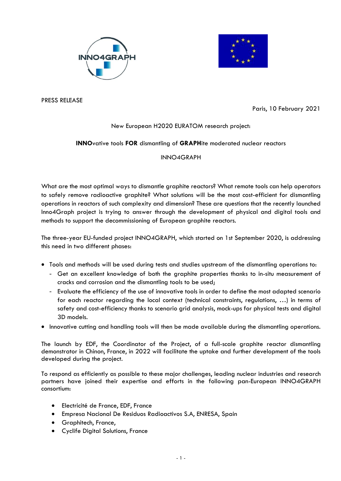



PRESS RELEASE

Paris, 10 February 2021

## New European H2020 EURATOM research project:

## **INNO**vative tools **FOR** dismantling of **GRAPH**ite moderated nuclear reactors

## INNO4GRAPH

What are the most optimal ways to dismantle graphite reactors? What remote tools can help operators to safely remove radioactive graphite? What solutions will be the most cost-efficient for dismantling operations in reactors of such complexity and dimension? These are questions that the recently launched Inno4Graph project is trying to answer through the development of physical and digital tools and methods to support the decommissioning of European graphite reactors.

The three-year EU-funded project INNO4GRAPH, which started on 1st September 2020, is addressing this need in two different phases:

- Tools and methods will be used during tests and studies upstream of the dismantling operations to:
	- Get an excellent knowledge of both the graphite properties thanks to in-situ measurement of cracks and corrosion and the dismantling tools to be used;
	- Evaluate the efficiency of the use of innovative tools in order to define the most adapted scenario for each reactor regarding the local context (technical constraints, regulations, …) in terms of safety and cost-efficiency thanks to scenario grid analysis, mock-ups for physical tests and digital 3D models.
- Innovative cutting and handling tools will then be made available during the dismantling operations.

The launch by EDF, the Coordinator of the Project, of a full-scale graphite reactor dismantling demonstrator in Chinon, France, in 2022 will facilitate the uptake and further development of the tools developed during the project.

To respond as efficiently as possible to these major challenges, leading nuclear industries and research partners have joined their expertise and efforts in the following pan-European INNO4GRAPH consortium:

- Electricité de France, EDF, France
- Empresa Nacional De Residuos Radioactivos S.A, ENRESA, Spain
- Graphitech, France,
- Cyclife Digital Solutions, France